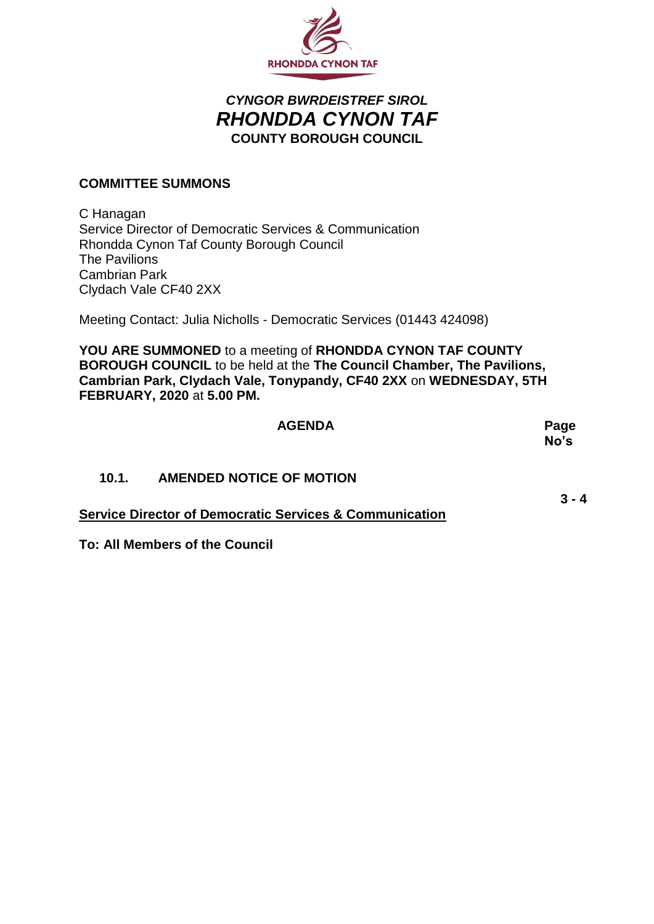

## *CYNGOR BWRDEISTREF SIROL RHONDDA CYNON TAF* **COUNTY BOROUGH COUNCIL**

## **COMMITTEE SUMMONS**

C Hanagan Service Director of Democratic Services & Communication Rhondda Cynon Taf County Borough Council The Pavilions Cambrian Park Clydach Vale CF40 2XX

Meeting Contact: Julia Nicholls - Democratic Services (01443 424098)

**YOU ARE SUMMONED** to a meeting of **RHONDDA CYNON TAF COUNTY BOROUGH COUNCIL** to be held at the **The Council Chamber, The Pavilions, Cambrian Park, Clydach Vale, Tonypandy, CF40 2XX** on **WEDNESDAY, 5TH FEBRUARY, 2020** at **5.00 PM.**

|                                                                    | <b>AGENDA</b>                   | Page<br>No's |
|--------------------------------------------------------------------|---------------------------------|--------------|
| 10.1.                                                              | <b>AMENDED NOTICE OF MOTION</b> |              |
| <b>Service Director of Democratic Services &amp; Communication</b> |                                 | $3 - 4$      |

**To: All Members of the Council**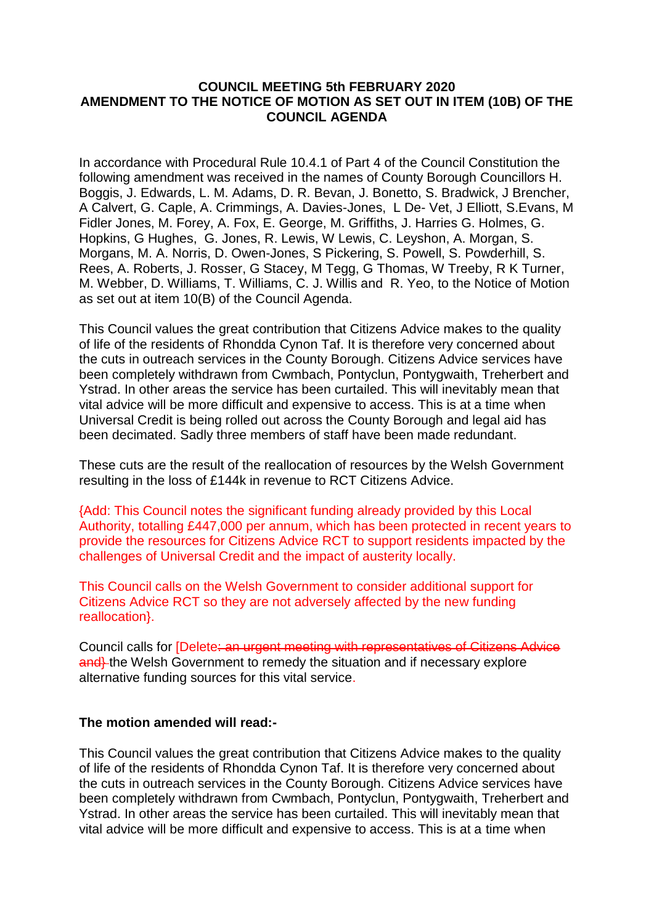## **COUNCIL MEETING 5th FEBRUARY 2020 AMENDMENT TO THE NOTICE OF MOTION AS SET OUT IN ITEM (10B) OF THE COUNCIL AGENDA**

In accordance with Procedural Rule 10.4.1 of Part 4 of the Council Constitution the following amendment was received in the names of County Borough Councillors H. Boggis, J. Edwards, L. M. Adams, D. R. Bevan, J. Bonetto, S. Bradwick, J Brencher, A Calvert, G. Caple, A. Crimmings, A. Davies-Jones, L De- Vet, J Elliott, S.Evans, M Fidler Jones, M. Forey, A. Fox, E. George, M. Griffiths, J. Harries G. Holmes, G. Hopkins, G Hughes, G. Jones, R. Lewis, W Lewis, C. Leyshon, A. Morgan, S. Morgans, M. A. Norris, D. Owen-Jones, S Pickering, S. Powell, S. Powderhill, S. Rees, A. Roberts, J. Rosser, G Stacey, M Tegg, G Thomas, W Treeby, R K Turner, M. Webber, D. Williams, T. Williams, C. J. Willis and R. Yeo, to the Notice of Motion as set out at item 10(B) of the Council Agenda.

This Council values the great contribution that Citizens Advice makes to the quality of life of the residents of Rhondda Cynon Taf. It is therefore very concerned about the cuts in outreach services in the County Borough. Citizens Advice services have been completely withdrawn from Cwmbach, Pontyclun, Pontygwaith, Treherbert and Ystrad. In other areas the service has been curtailed. This will inevitably mean that vital advice will be more difficult and expensive to access. This is at a time when Universal Credit is being rolled out across the County Borough and legal aid has been decimated. Sadly three members of staff have been made redundant.

These cuts are the result of the reallocation of resources by the Welsh Government resulting in the loss of £144k in revenue to RCT Citizens Advice.

{Add: This Council notes the significant funding already provided by this Local Authority, totalling £447,000 per annum, which has been protected in recent years to provide the resources for Citizens Advice RCT to support residents impacted by the challenges of Universal Credit and the impact of austerity locally.

This Council calls on the Welsh Government to consider additional support for Citizens Advice RCT so they are not adversely affected by the new funding reallocation}.

Council calls for [Delete: an urgent meeting with representatives of Citizens Advice and<sup>1</sup> the Welsh Government to remedy the situation and if necessary explore alternative funding sources for this vital service.

## **The motion amended will read:-**

This Council values the great contribution that Citizens Advice makes to the quality of life of the residents of Rhondda Cynon Taf. It is therefore very concerned about the cuts in outreach services in the County Borough. Citizens Advice services have been completely withdrawn from Cwmbach, Pontyclun, Pontygwaith, Treherbert and Ystrad. In other areas the service has been curtailed. This will inevitably mean that vital advice will be more difficult and expensive to access. This is at a time when